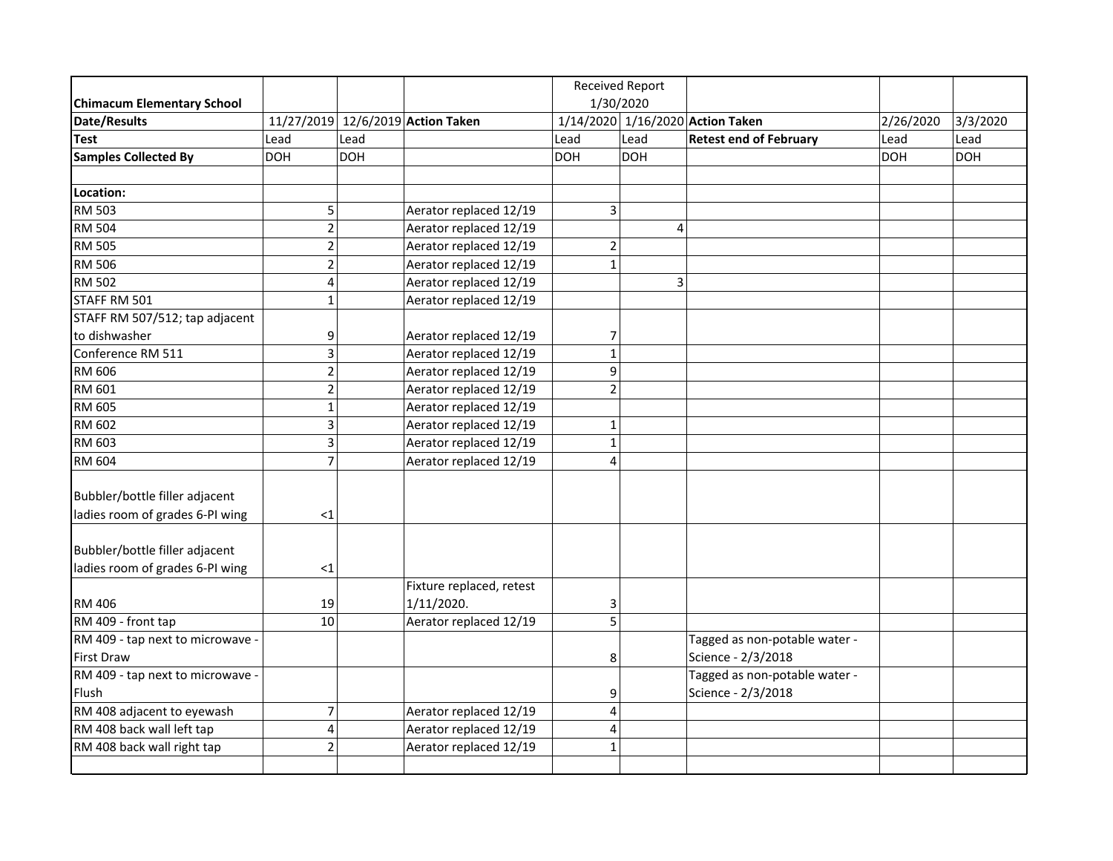|                                   |                |            |                                   | <b>Received Report</b> |            |                                  |            |            |
|-----------------------------------|----------------|------------|-----------------------------------|------------------------|------------|----------------------------------|------------|------------|
| <b>Chimacum Elementary School</b> |                |            |                                   | 1/30/2020              |            |                                  |            |            |
| Date/Results                      |                |            | 11/27/2019 12/6/2019 Action Taken |                        |            | 1/14/2020 1/16/2020 Action Taken | 2/26/2020  | 3/3/2020   |
| <b>Test</b>                       | Lead           | Lead       |                                   | Lead                   | Lead       | <b>Retest end of February</b>    | Lead       | Lead       |
| <b>Samples Collected By</b>       | <b>DOH</b>     | <b>DOH</b> |                                   | <b>DOH</b>             | <b>DOH</b> |                                  | <b>DOH</b> | <b>DOH</b> |
|                                   |                |            |                                   |                        |            |                                  |            |            |
| Location:                         |                |            |                                   |                        |            |                                  |            |            |
| <b>RM 503</b>                     | 5              |            | Aerator replaced 12/19            | $\overline{3}$         |            |                                  |            |            |
| <b>RM 504</b>                     | $\overline{2}$ |            | Aerator replaced 12/19            |                        | 4          |                                  |            |            |
| <b>RM 505</b>                     | $\overline{2}$ |            | Aerator replaced 12/19            | $\overline{2}$         |            |                                  |            |            |
| <b>RM 506</b>                     | $\overline{2}$ |            | Aerator replaced 12/19            | $\mathbf{1}$           |            |                                  |            |            |
| <b>RM 502</b>                     | 4              |            | Aerator replaced 12/19            |                        | 3          |                                  |            |            |
| STAFF RM 501                      | $\mathbf{1}$   |            | Aerator replaced 12/19            |                        |            |                                  |            |            |
| STAFF RM 507/512; tap adjacent    |                |            |                                   |                        |            |                                  |            |            |
| to dishwasher                     | 9              |            | Aerator replaced 12/19            | 7                      |            |                                  |            |            |
| Conference RM 511                 | 3              |            | Aerator replaced 12/19            | $\mathbf{1}$           |            |                                  |            |            |
| RM 606                            | $\overline{2}$ |            | Aerator replaced 12/19            | 9                      |            |                                  |            |            |
| RM 601                            | $\overline{2}$ |            | Aerator replaced 12/19            | $\overline{2}$         |            |                                  |            |            |
| RM 605                            | $\mathbf{1}$   |            | Aerator replaced 12/19            |                        |            |                                  |            |            |
| RM 602                            | 3              |            | Aerator replaced 12/19            | $\mathbf 1$            |            |                                  |            |            |
| RM 603                            | 3              |            | Aerator replaced 12/19            | $\mathbf{1}$           |            |                                  |            |            |
| RM 604                            | $\overline{7}$ |            | Aerator replaced 12/19            | 4                      |            |                                  |            |            |
|                                   |                |            |                                   |                        |            |                                  |            |            |
| Bubbler/bottle filler adjacent    |                |            |                                   |                        |            |                                  |            |            |
| ladies room of grades 6-PI wing   | <1             |            |                                   |                        |            |                                  |            |            |
|                                   |                |            |                                   |                        |            |                                  |            |            |
| Bubbler/bottle filler adjacent    |                |            |                                   |                        |            |                                  |            |            |
| ladies room of grades 6-PI wing   | $\leq$ 1       |            |                                   |                        |            |                                  |            |            |
|                                   |                |            | Fixture replaced, retest          |                        |            |                                  |            |            |
| <b>RM 406</b>                     | 19             |            | 1/11/2020.                        | 3                      |            |                                  |            |            |
| RM 409 - front tap                | 10             |            | Aerator replaced 12/19            | $\overline{5}$         |            |                                  |            |            |
| RM 409 - tap next to microwave -  |                |            |                                   |                        |            | Tagged as non-potable water -    |            |            |
| <b>First Draw</b>                 |                |            |                                   | 8                      |            | Science - 2/3/2018               |            |            |
| RM 409 - tap next to microwave -  |                |            |                                   |                        |            | Tagged as non-potable water -    |            |            |
| Flush                             |                |            |                                   | 9                      |            | Science - 2/3/2018               |            |            |
| RM 408 adjacent to eyewash        | $\overline{7}$ |            | Aerator replaced 12/19            | 4                      |            |                                  |            |            |
| RM 408 back wall left tap         | 4              |            | Aerator replaced 12/19            | $\overline{4}$         |            |                                  |            |            |
| RM 408 back wall right tap        | $\overline{2}$ |            | Aerator replaced 12/19            | $\mathbf{1}$           |            |                                  |            |            |
|                                   |                |            |                                   |                        |            |                                  |            |            |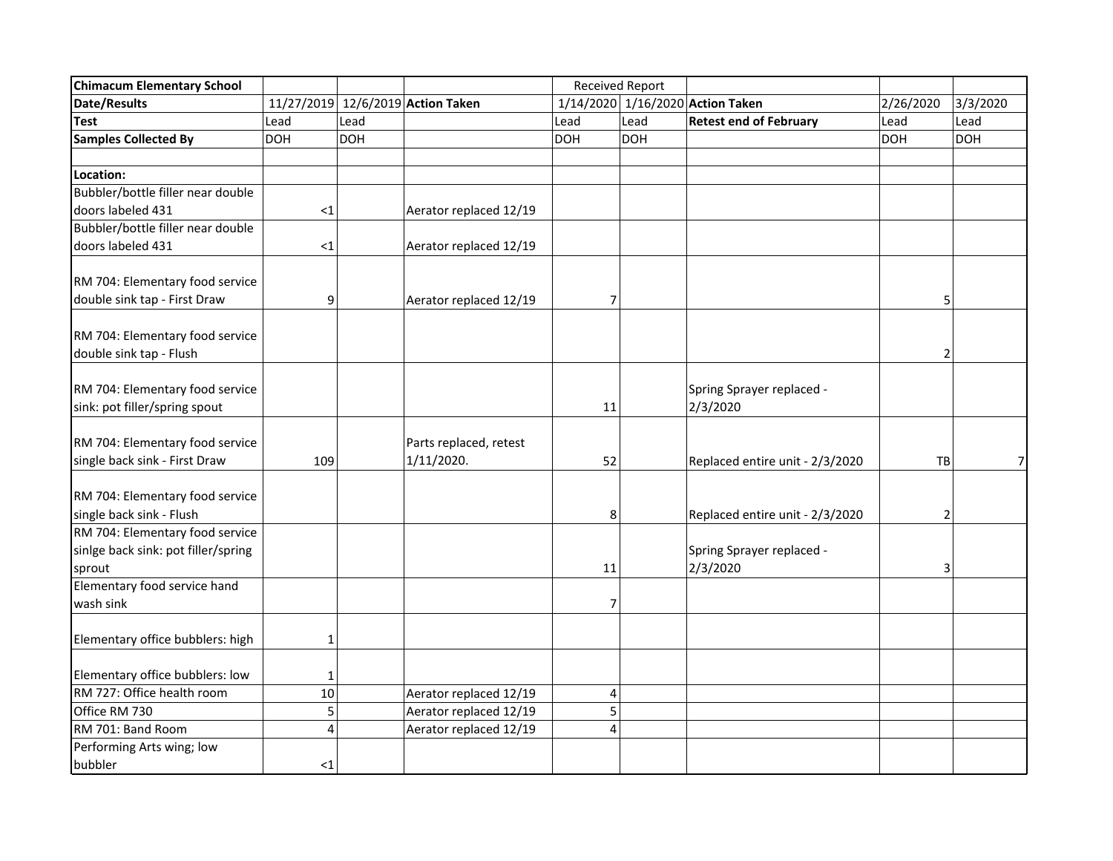| <b>Chimacum Elementary School</b>   |                |            | <b>Received Report</b>            |                |            |                                  |                |                |
|-------------------------------------|----------------|------------|-----------------------------------|----------------|------------|----------------------------------|----------------|----------------|
| Date/Results                        |                |            | 11/27/2019 12/6/2019 Action Taken |                |            | 1/14/2020 1/16/2020 Action Taken | 2/26/2020      | 3/3/2020       |
| <b>Test</b>                         | Lead           | Lead       |                                   | Lead           | Lead       | <b>Retest end of February</b>    | Lead           | Lead           |
| <b>Samples Collected By</b>         | <b>DOH</b>     | <b>DOH</b> |                                   | <b>DOH</b>     | <b>DOH</b> |                                  | <b>DOH</b>     | <b>DOH</b>     |
|                                     |                |            |                                   |                |            |                                  |                |                |
| Location:                           |                |            |                                   |                |            |                                  |                |                |
| Bubbler/bottle filler near double   |                |            |                                   |                |            |                                  |                |                |
| doors labeled 431                   | $<$ 1          |            | Aerator replaced 12/19            |                |            |                                  |                |                |
| Bubbler/bottle filler near double   |                |            |                                   |                |            |                                  |                |                |
| doors labeled 431                   | $<$ 1          |            | Aerator replaced 12/19            |                |            |                                  |                |                |
|                                     |                |            |                                   |                |            |                                  |                |                |
| RM 704: Elementary food service     |                |            |                                   |                |            |                                  |                |                |
| double sink tap - First Draw        | 9              |            | Aerator replaced 12/19            | $\overline{7}$ |            |                                  | 5              |                |
|                                     |                |            |                                   |                |            |                                  |                |                |
| RM 704: Elementary food service     |                |            |                                   |                |            |                                  |                |                |
| double sink tap - Flush             |                |            |                                   |                |            |                                  | 2              |                |
|                                     |                |            |                                   |                |            |                                  |                |                |
| RM 704: Elementary food service     |                |            |                                   |                |            | Spring Sprayer replaced -        |                |                |
| sink: pot filler/spring spout       |                |            |                                   | 11             |            | 2/3/2020                         |                |                |
|                                     |                |            |                                   |                |            |                                  |                |                |
| RM 704: Elementary food service     |                |            | Parts replaced, retest            |                |            |                                  |                |                |
| single back sink - First Draw       | 109            |            | 1/11/2020.                        | 52             |            | Replaced entire unit - 2/3/2020  | TB             | 7 <sup>1</sup> |
|                                     |                |            |                                   |                |            |                                  |                |                |
| RM 704: Elementary food service     |                |            |                                   |                |            |                                  |                |                |
| single back sink - Flush            |                |            |                                   | 8              |            | Replaced entire unit - 2/3/2020  | $\overline{2}$ |                |
| RM 704: Elementary food service     |                |            |                                   |                |            |                                  |                |                |
| sinlge back sink: pot filler/spring |                |            |                                   |                |            | Spring Sprayer replaced -        |                |                |
| sprout                              |                |            |                                   | 11             |            | 2/3/2020                         | 3              |                |
| Elementary food service hand        |                |            |                                   |                |            |                                  |                |                |
| wash sink                           |                |            |                                   | $\overline{7}$ |            |                                  |                |                |
|                                     |                |            |                                   |                |            |                                  |                |                |
| Elementary office bubblers: high    | 1              |            |                                   |                |            |                                  |                |                |
|                                     |                |            |                                   |                |            |                                  |                |                |
| Elementary office bubblers: low     | 1              |            |                                   |                |            |                                  |                |                |
| RM 727: Office health room          | 10             |            | Aerator replaced 12/19            | 4              |            |                                  |                |                |
| Office RM 730                       | 5              |            | Aerator replaced 12/19            | 5              |            |                                  |                |                |
| RM 701: Band Room                   | $\overline{4}$ |            | Aerator replaced 12/19            | 4              |            |                                  |                |                |
| Performing Arts wing; low           |                |            |                                   |                |            |                                  |                |                |
| bubbler                             | $<$ 1          |            |                                   |                |            |                                  |                |                |